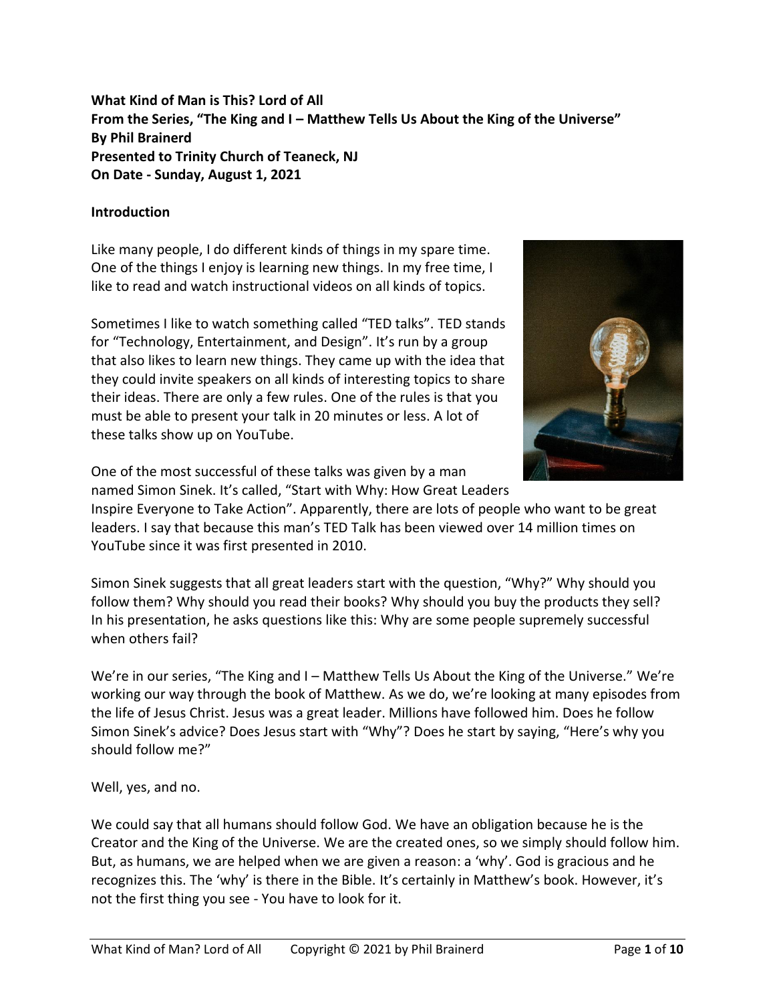**What Kind of Man is This? Lord of All From the Series, "The King and I – Matthew Tells Us About the King of the Universe" By Phil Brainerd Presented to Trinity Church of Teaneck, NJ On Date - Sunday, August 1, 2021**

## **Introduction**

Like many people, I do different kinds of things in my spare time. One of the things I enjoy is learning new things. In my free time, I like to read and watch instructional videos on all kinds of topics.

Sometimes I like to watch something called "TED talks". TED stands for "Technology, Entertainment, and Design". It's run by a group that also likes to learn new things. They came up with the idea that they could invite speakers on all kinds of interesting topics to share their ideas. There are only a few rules. One of the rules is that you must be able to present your talk in 20 minutes or less. A lot of these talks show up on YouTube.



One of the most successful of these talks was given by a man named Simon Sinek. It's called, "Start with Why: How Great Leaders

Inspire Everyone to Take Action". Apparently, there are lots of people who want to be great leaders. I say that because this man's TED Talk has been viewed over 14 million times on YouTube since it was first presented in 2010.

Simon Sinek suggests that all great leaders start with the question, "Why?" Why should you follow them? Why should you read their books? Why should you buy the products they sell? In his presentation, he asks questions like this: Why are some people supremely successful when others fail?

We're in our series, "The King and I – Matthew Tells Us About the King of the Universe." We're working our way through the book of Matthew. As we do, we're looking at many episodes from the life of Jesus Christ. Jesus was a great leader. Millions have followed him. Does he follow Simon Sinek's advice? Does Jesus start with "Why"? Does he start by saying, "Here's why you should follow me?"

Well, yes, and no.

We could say that all humans should follow God. We have an obligation because he is the Creator and the King of the Universe. We are the created ones, so we simply should follow him. But, as humans, we are helped when we are given a reason: a 'why'. God is gracious and he recognizes this. The 'why' is there in the Bible. It's certainly in Matthew's book. However, it's not the first thing you see - You have to look for it.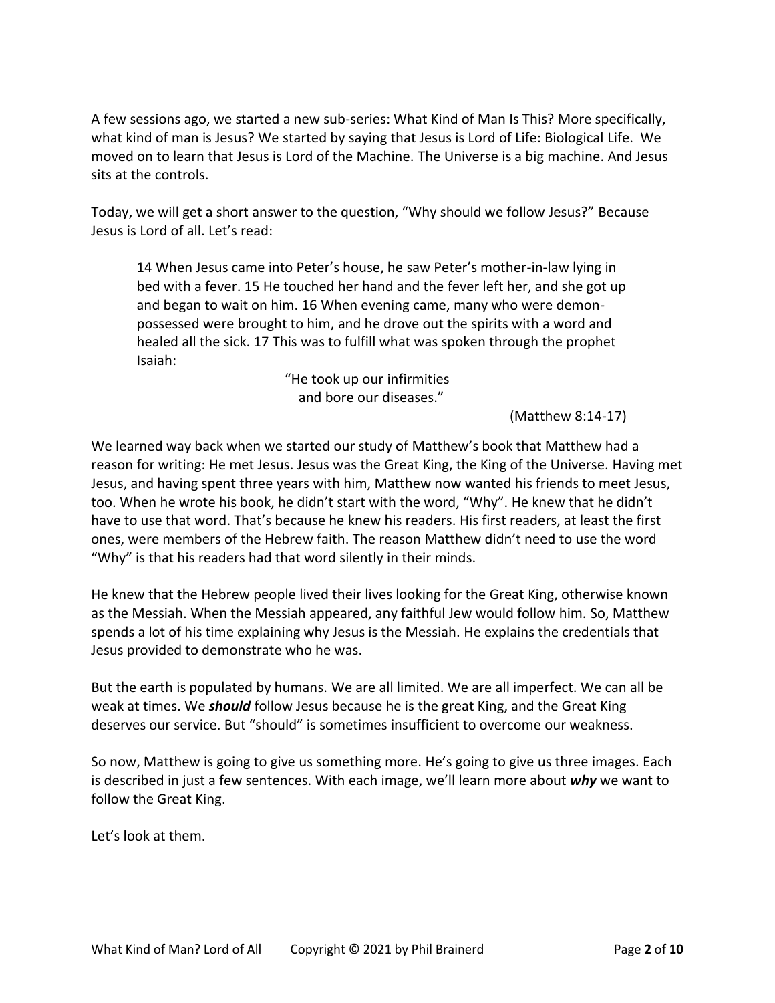A few sessions ago, we started a new sub-series: What Kind of Man Is This? More specifically, what kind of man is Jesus? We started by saying that Jesus is Lord of Life: Biological Life. We moved on to learn that Jesus is Lord of the Machine. The Universe is a big machine. And Jesus sits at the controls.

Today, we will get a short answer to the question, "Why should we follow Jesus?" Because Jesus is Lord of all. Let's read:

14 When Jesus came into Peter's house, he saw Peter's mother-in-law lying in bed with a fever. 15 He touched her hand and the fever left her, and she got up and began to wait on him. 16 When evening came, many who were demonpossessed were brought to him, and he drove out the spirits with a word and healed all the sick. 17 This was to fulfill what was spoken through the prophet Isaiah:

> "He took up our infirmities and bore our diseases."

> > (Matthew 8:14-17)

We learned way back when we started our study of Matthew's book that Matthew had a reason for writing: He met Jesus. Jesus was the Great King, the King of the Universe. Having met Jesus, and having spent three years with him, Matthew now wanted his friends to meet Jesus, too. When he wrote his book, he didn't start with the word, "Why". He knew that he didn't have to use that word. That's because he knew his readers. His first readers, at least the first ones, were members of the Hebrew faith. The reason Matthew didn't need to use the word "Why" is that his readers had that word silently in their minds.

He knew that the Hebrew people lived their lives looking for the Great King, otherwise known as the Messiah. When the Messiah appeared, any faithful Jew would follow him. So, Matthew spends a lot of his time explaining why Jesus is the Messiah. He explains the credentials that Jesus provided to demonstrate who he was.

But the earth is populated by humans. We are all limited. We are all imperfect. We can all be weak at times. We *should* follow Jesus because he is the great King, and the Great King deserves our service. But "should" is sometimes insufficient to overcome our weakness.

So now, Matthew is going to give us something more. He's going to give us three images. Each is described in just a few sentences. With each image, we'll learn more about *why* we want to follow the Great King.

Let's look at them.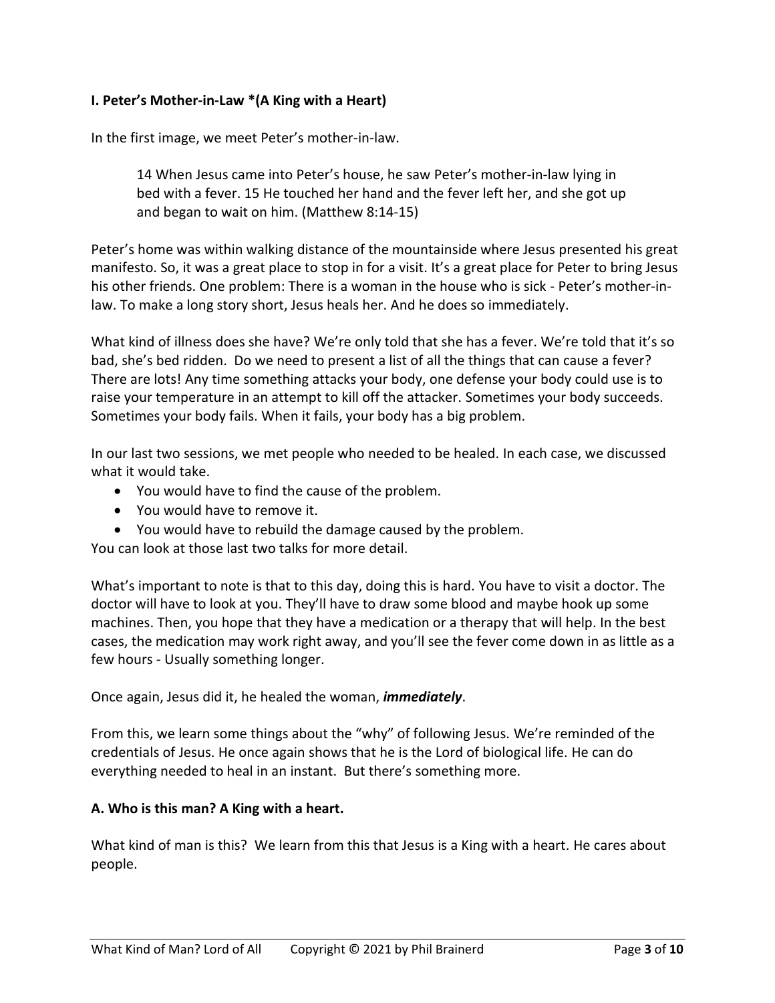## **I. Peter's Mother-in-Law \*(A King with a Heart)**

In the first image, we meet Peter's mother-in-law.

14 When Jesus came into Peter's house, he saw Peter's mother-in-law lying in bed with a fever. 15 He touched her hand and the fever left her, and she got up and began to wait on him. (Matthew 8:14-15)

Peter's home was within walking distance of the mountainside where Jesus presented his great manifesto. So, it was a great place to stop in for a visit. It's a great place for Peter to bring Jesus his other friends. One problem: There is a woman in the house who is sick - Peter's mother-inlaw. To make a long story short, Jesus heals her. And he does so immediately.

What kind of illness does she have? We're only told that she has a fever. We're told that it's so bad, she's bed ridden. Do we need to present a list of all the things that can cause a fever? There are lots! Any time something attacks your body, one defense your body could use is to raise your temperature in an attempt to kill off the attacker. Sometimes your body succeeds. Sometimes your body fails. When it fails, your body has a big problem.

In our last two sessions, we met people who needed to be healed. In each case, we discussed what it would take.

- You would have to find the cause of the problem.
- You would have to remove it.
- You would have to rebuild the damage caused by the problem.

You can look at those last two talks for more detail.

What's important to note is that to this day, doing this is hard. You have to visit a doctor. The doctor will have to look at you. They'll have to draw some blood and maybe hook up some machines. Then, you hope that they have a medication or a therapy that will help. In the best cases, the medication may work right away, and you'll see the fever come down in as little as a few hours - Usually something longer.

### Once again, Jesus did it, he healed the woman, *immediately*.

From this, we learn some things about the "why" of following Jesus. We're reminded of the credentials of Jesus. He once again shows that he is the Lord of biological life. He can do everything needed to heal in an instant. But there's something more.

### **A. Who is this man? A King with a heart.**

What kind of man is this? We learn from this that Jesus is a King with a heart. He cares about people.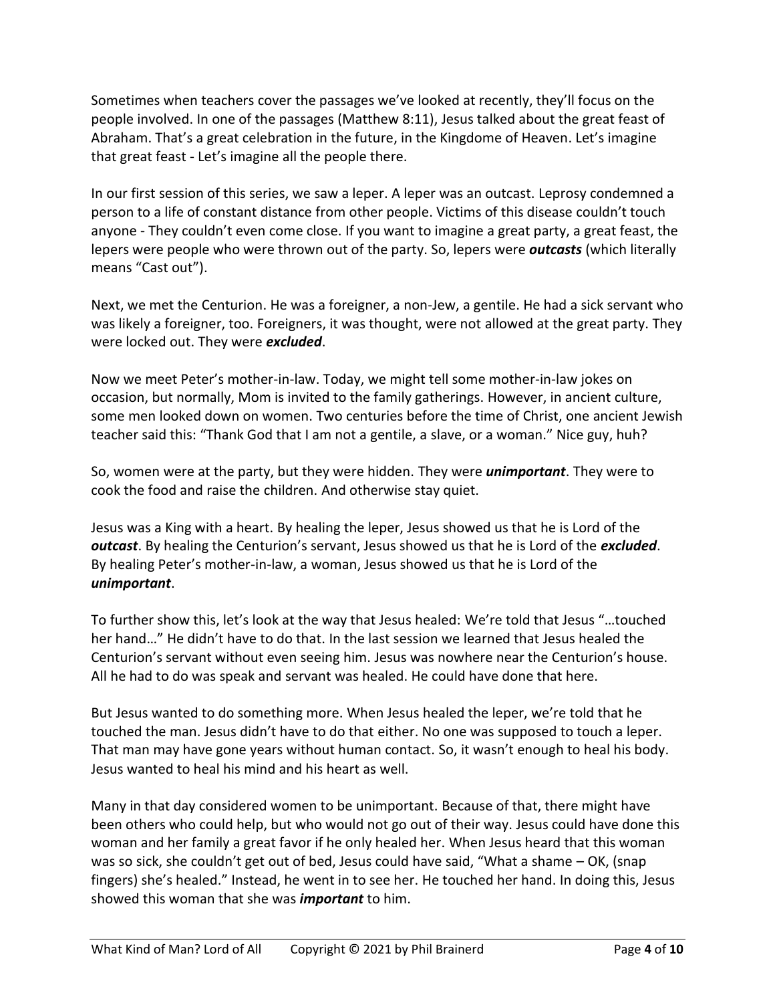Sometimes when teachers cover the passages we've looked at recently, they'll focus on the people involved. In one of the passages (Matthew 8:11), Jesus talked about the great feast of Abraham. That's a great celebration in the future, in the Kingdome of Heaven. Let's imagine that great feast - Let's imagine all the people there.

In our first session of this series, we saw a leper. A leper was an outcast. Leprosy condemned a person to a life of constant distance from other people. Victims of this disease couldn't touch anyone - They couldn't even come close. If you want to imagine a great party, a great feast, the lepers were people who were thrown out of the party. So, lepers were *outcasts* (which literally means "Cast out").

Next, we met the Centurion. He was a foreigner, a non-Jew, a gentile. He had a sick servant who was likely a foreigner, too. Foreigners, it was thought, were not allowed at the great party. They were locked out. They were *excluded*.

Now we meet Peter's mother-in-law. Today, we might tell some mother-in-law jokes on occasion, but normally, Mom is invited to the family gatherings. However, in ancient culture, some men looked down on women. Two centuries before the time of Christ, one ancient Jewish teacher said this: "Thank God that I am not a gentile, a slave, or a woman." Nice guy, huh?

So, women were at the party, but they were hidden. They were *unimportant*. They were to cook the food and raise the children. And otherwise stay quiet.

Jesus was a King with a heart. By healing the leper, Jesus showed us that he is Lord of the *outcast*. By healing the Centurion's servant, Jesus showed us that he is Lord of the *excluded*. By healing Peter's mother-in-law, a woman, Jesus showed us that he is Lord of the *unimportant*.

To further show this, let's look at the way that Jesus healed: We're told that Jesus "…touched her hand…" He didn't have to do that. In the last session we learned that Jesus healed the Centurion's servant without even seeing him. Jesus was nowhere near the Centurion's house. All he had to do was speak and servant was healed. He could have done that here.

But Jesus wanted to do something more. When Jesus healed the leper, we're told that he touched the man. Jesus didn't have to do that either. No one was supposed to touch a leper. That man may have gone years without human contact. So, it wasn't enough to heal his body. Jesus wanted to heal his mind and his heart as well.

Many in that day considered women to be unimportant. Because of that, there might have been others who could help, but who would not go out of their way. Jesus could have done this woman and her family a great favor if he only healed her. When Jesus heard that this woman was so sick, she couldn't get out of bed, Jesus could have said, "What a shame – OK, (snap fingers) she's healed." Instead, he went in to see her. He touched her hand. In doing this, Jesus showed this woman that she was *important* to him.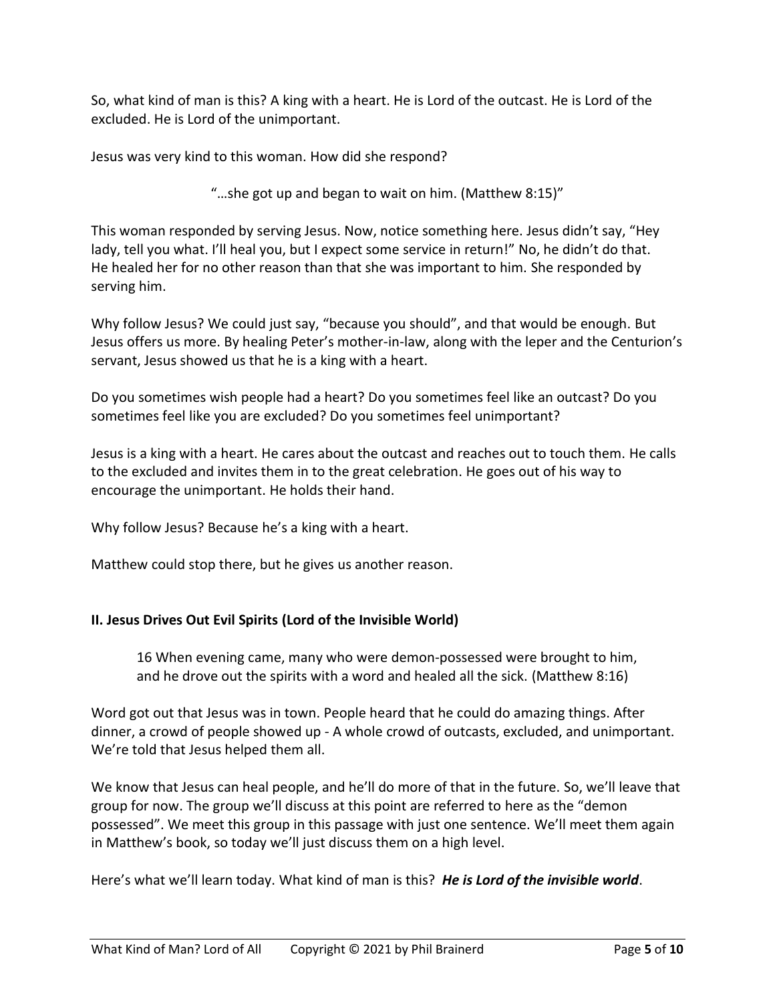So, what kind of man is this? A king with a heart. He is Lord of the outcast. He is Lord of the excluded. He is Lord of the unimportant.

Jesus was very kind to this woman. How did she respond?

"…she got up and began to wait on him. (Matthew 8:15)"

This woman responded by serving Jesus. Now, notice something here. Jesus didn't say, "Hey lady, tell you what. I'll heal you, but I expect some service in return!" No, he didn't do that. He healed her for no other reason than that she was important to him. She responded by serving him.

Why follow Jesus? We could just say, "because you should", and that would be enough. But Jesus offers us more. By healing Peter's mother-in-law, along with the leper and the Centurion's servant, Jesus showed us that he is a king with a heart.

Do you sometimes wish people had a heart? Do you sometimes feel like an outcast? Do you sometimes feel like you are excluded? Do you sometimes feel unimportant?

Jesus is a king with a heart. He cares about the outcast and reaches out to touch them. He calls to the excluded and invites them in to the great celebration. He goes out of his way to encourage the unimportant. He holds their hand.

Why follow Jesus? Because he's a king with a heart.

Matthew could stop there, but he gives us another reason.

# **II. Jesus Drives Out Evil Spirits (Lord of the Invisible World)**

16 When evening came, many who were demon-possessed were brought to him, and he drove out the spirits with a word and healed all the sick. (Matthew 8:16)

Word got out that Jesus was in town. People heard that he could do amazing things. After dinner, a crowd of people showed up - A whole crowd of outcasts, excluded, and unimportant. We're told that Jesus helped them all.

We know that Jesus can heal people, and he'll do more of that in the future. So, we'll leave that group for now. The group we'll discuss at this point are referred to here as the "demon possessed". We meet this group in this passage with just one sentence. We'll meet them again in Matthew's book, so today we'll just discuss them on a high level.

Here's what we'll learn today. What kind of man is this? *He is Lord of the invisible world*.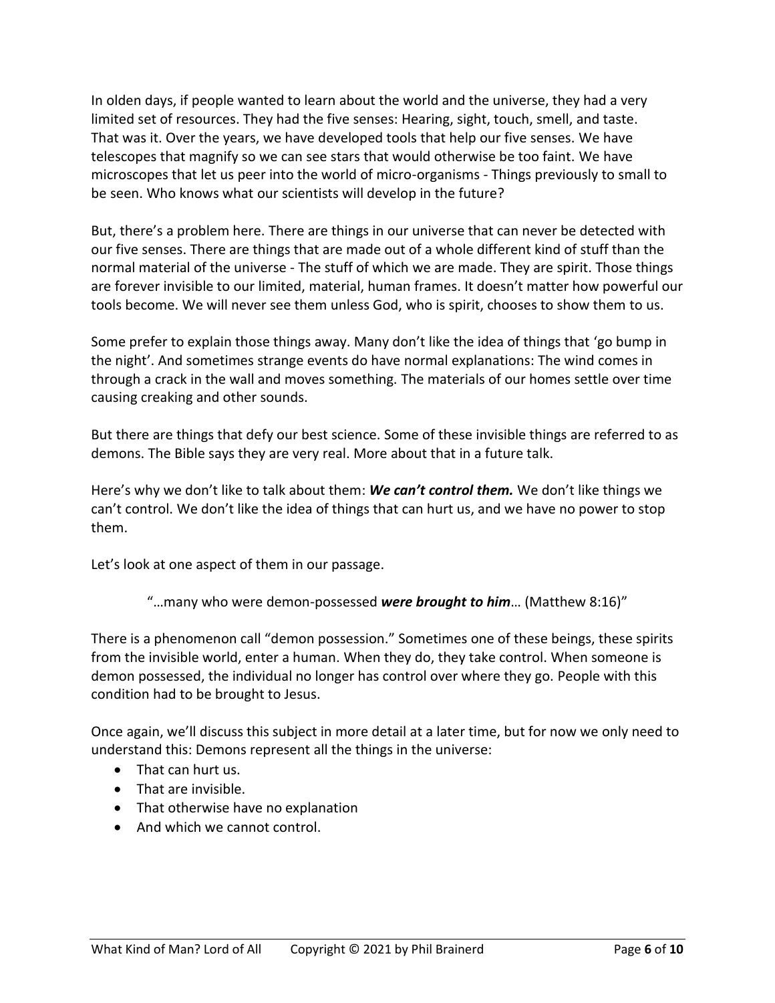In olden days, if people wanted to learn about the world and the universe, they had a very limited set of resources. They had the five senses: Hearing, sight, touch, smell, and taste. That was it. Over the years, we have developed tools that help our five senses. We have telescopes that magnify so we can see stars that would otherwise be too faint. We have microscopes that let us peer into the world of micro-organisms - Things previously to small to be seen. Who knows what our scientists will develop in the future?

But, there's a problem here. There are things in our universe that can never be detected with our five senses. There are things that are made out of a whole different kind of stuff than the normal material of the universe - The stuff of which we are made. They are spirit. Those things are forever invisible to our limited, material, human frames. It doesn't matter how powerful our tools become. We will never see them unless God, who is spirit, chooses to show them to us.

Some prefer to explain those things away. Many don't like the idea of things that 'go bump in the night'. And sometimes strange events do have normal explanations: The wind comes in through a crack in the wall and moves something. The materials of our homes settle over time causing creaking and other sounds.

But there are things that defy our best science. Some of these invisible things are referred to as demons. The Bible says they are very real. More about that in a future talk.

Here's why we don't like to talk about them: *We can't control them.* We don't like things we can't control. We don't like the idea of things that can hurt us, and we have no power to stop them.

Let's look at one aspect of them in our passage.

"…many who were demon-possessed *were brought to him*… (Matthew 8:16)"

There is a phenomenon call "demon possession." Sometimes one of these beings, these spirits from the invisible world, enter a human. When they do, they take control. When someone is demon possessed, the individual no longer has control over where they go. People with this condition had to be brought to Jesus.

Once again, we'll discuss this subject in more detail at a later time, but for now we only need to understand this: Demons represent all the things in the universe:

- That can hurt us.
- That are invisible.
- That otherwise have no explanation
- And which we cannot control.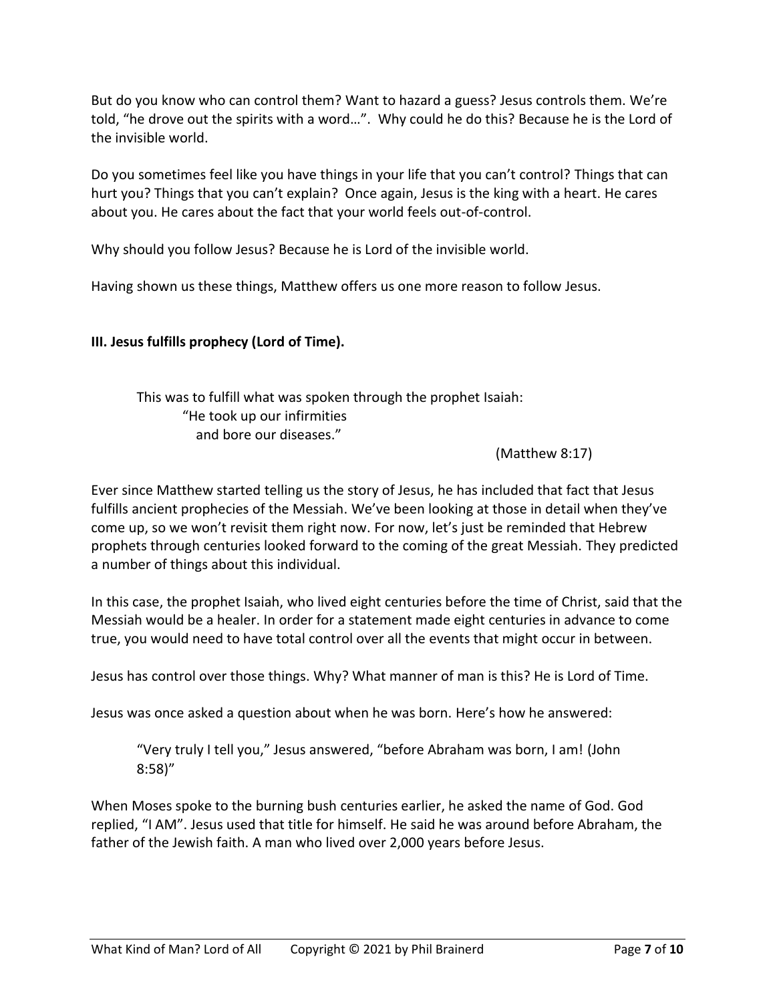But do you know who can control them? Want to hazard a guess? Jesus controls them. We're told, "he drove out the spirits with a word…". Why could he do this? Because he is the Lord of the invisible world.

Do you sometimes feel like you have things in your life that you can't control? Things that can hurt you? Things that you can't explain? Once again, Jesus is the king with a heart. He cares about you. He cares about the fact that your world feels out-of-control.

Why should you follow Jesus? Because he is Lord of the invisible world.

Having shown us these things, Matthew offers us one more reason to follow Jesus.

# **III. Jesus fulfills prophecy (Lord of Time).**

This was to fulfill what was spoken through the prophet Isaiah: "He took up our infirmities and bore our diseases."

(Matthew 8:17)

Ever since Matthew started telling us the story of Jesus, he has included that fact that Jesus fulfills ancient prophecies of the Messiah. We've been looking at those in detail when they've come up, so we won't revisit them right now. For now, let's just be reminded that Hebrew prophets through centuries looked forward to the coming of the great Messiah. They predicted a number of things about this individual.

In this case, the prophet Isaiah, who lived eight centuries before the time of Christ, said that the Messiah would be a healer. In order for a statement made eight centuries in advance to come true, you would need to have total control over all the events that might occur in between.

Jesus has control over those things. Why? What manner of man is this? He is Lord of Time.

Jesus was once asked a question about when he was born. Here's how he answered:

"Very truly I tell you," Jesus answered, "before Abraham was born, I am! (John 8:58)"

When Moses spoke to the burning bush centuries earlier, he asked the name of God. God replied, "I AM". Jesus used that title for himself. He said he was around before Abraham, the father of the Jewish faith. A man who lived over 2,000 years before Jesus.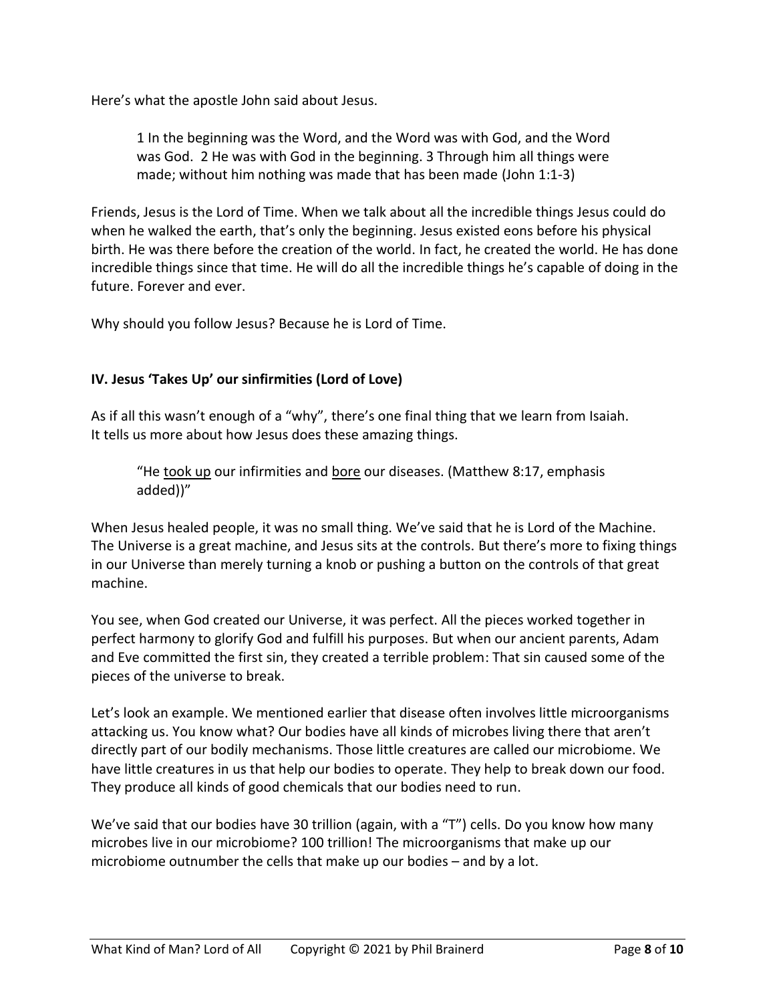Here's what the apostle John said about Jesus.

1 In the beginning was the Word, and the Word was with God, and the Word was God. 2 He was with God in the beginning. 3 Through him all things were made; without him nothing was made that has been made (John 1:1-3)

Friends, Jesus is the Lord of Time. When we talk about all the incredible things Jesus could do when he walked the earth, that's only the beginning. Jesus existed eons before his physical birth. He was there before the creation of the world. In fact, he created the world. He has done incredible things since that time. He will do all the incredible things he's capable of doing in the future. Forever and ever.

Why should you follow Jesus? Because he is Lord of Time.

# **IV. Jesus 'Takes Up' our sinfirmities (Lord of Love)**

As if all this wasn't enough of a "why", there's one final thing that we learn from Isaiah. It tells us more about how Jesus does these amazing things.

"He took up our infirmities and bore our diseases. (Matthew 8:17, emphasis added))"

When Jesus healed people, it was no small thing. We've said that he is Lord of the Machine. The Universe is a great machine, and Jesus sits at the controls. But there's more to fixing things in our Universe than merely turning a knob or pushing a button on the controls of that great machine.

You see, when God created our Universe, it was perfect. All the pieces worked together in perfect harmony to glorify God and fulfill his purposes. But when our ancient parents, Adam and Eve committed the first sin, they created a terrible problem: That sin caused some of the pieces of the universe to break.

Let's look an example. We mentioned earlier that disease often involves little microorganisms attacking us. You know what? Our bodies have all kinds of microbes living there that aren't directly part of our bodily mechanisms. Those little creatures are called our microbiome. We have little creatures in us that help our bodies to operate. They help to break down our food. They produce all kinds of good chemicals that our bodies need to run.

We've said that our bodies have 30 trillion (again, with a "T") cells. Do you know how many microbes live in our microbiome? 100 trillion! The microorganisms that make up our microbiome outnumber the cells that make up our bodies – and by a lot.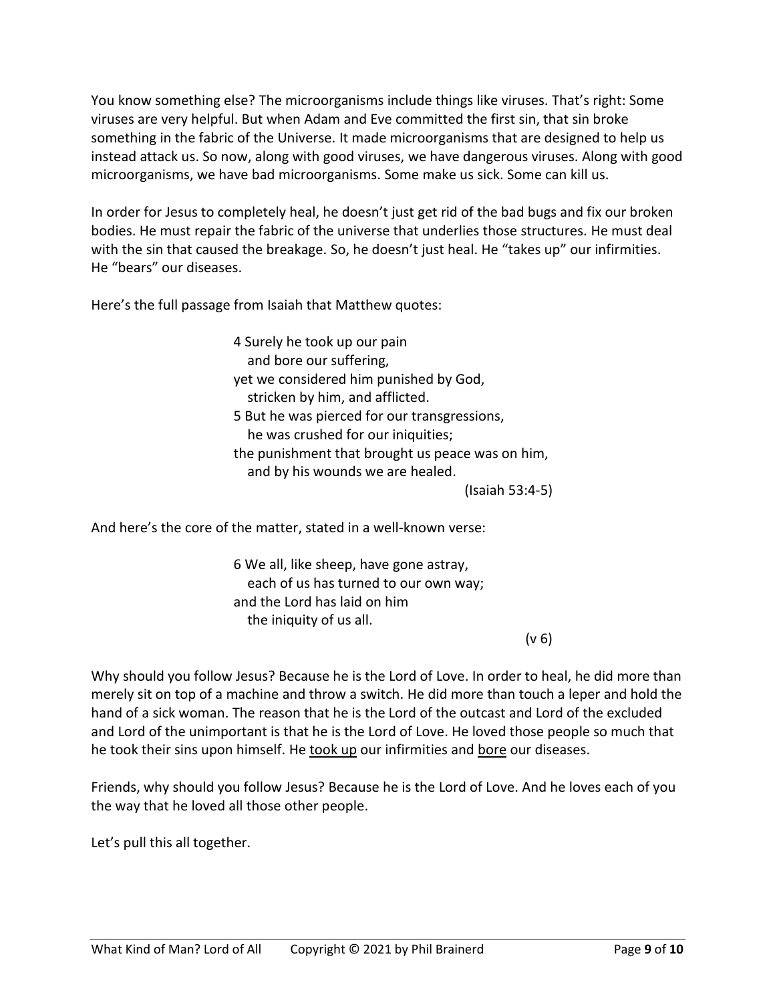You know something else? The microorganisms include things like viruses. That's right: Some viruses are very helpful. But when Adam and Eve committed the first sin, that sin broke something in the fabric of the Universe. It made microorganisms that are designed to help us instead attack us. So now, along with good viruses, we have dangerous viruses. Along with good microorganisms, we have bad microorganisms. Some make us sick. Some can kill us.

In order for Jesus to completely heal, he doesn't just get rid of the bad bugs and fix our broken bodies. He must repair the fabric of the universe that underlies those structures. He must deal with the sin that caused the breakage. So, he doesn't just heal. He "takes up" our infirmities. He "bears" our diseases.

Here's the full passage from Isaiah that Matthew quotes:

4 Surely he took up our pain and bore our suffering, yet we considered him punished by God, stricken by him, and afflicted. 5 But he was pierced for our transgressions, he was crushed for our iniquities; the punishment that brought us peace was on him, and by his wounds we are healed.

(Isaiah 53:4-5)

And here's the core of the matter, stated in a well-known verse:

6 We all, like sheep, have gone astray, each of us has turned to our own way; and the Lord has laid on him the iniquity of us all.

 $(v 6)$ 

Why should you follow Jesus? Because he is the Lord of Love. In order to heal, he did more than merely sit on top of a machine and throw a switch. He did more than touch a leper and hold the hand of a sick woman. The reason that he is the Lord of the outcast and Lord of the excluded and Lord of the unimportant is that he is the Lord of Love. He loved those people so much that he took their sins upon himself. He took up our infirmities and bore our diseases.

Friends, why should you follow Jesus? Because he is the Lord of Love. And he loves each of you the way that he loved all those other people.

Let's pull this all together.